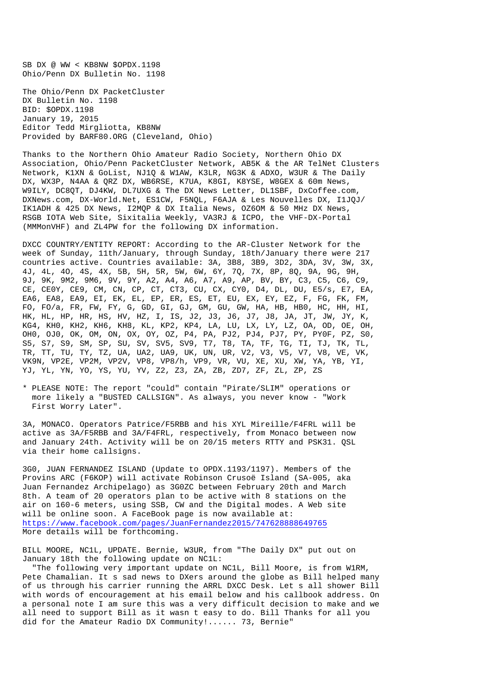SB DX @ WW < KB8NW \$OPDX.1198 Ohio/Penn DX Bulletin No. 1198

The Ohio/Penn DX PacketCluster DX Bulletin No. 1198 BID: \$OPDX.1198 January 19, 2015 Editor Tedd Mirgliotta, KB8NW Provided by BARF80.ORG (Cleveland, Ohio)

Thanks to the Northern Ohio Amateur Radio Society, Northern Ohio DX Association, Ohio/Penn PacketCluster Network, AB5K & the AR TelNet Clusters Network, K1XN & GoList, NJ1Q & W1AW, K3LR, NG3K & ADXO, W3UR & The Daily DX, WX3P, N4AA & QRZ DX, WB6RSE, K7UA, K8GI, K8YSE, W8GEX & 60m News, W9ILY, DC8QT, DJ4KW, DL7UXG & The DX News Letter, DL1SBF, DxCoffee.com, DXNews.com, DX-World.Net, ES1CW, F5NQL, F6AJA & Les Nouvelles DX, I1JQJ/ IK1ADH & 425 DX News, I2MQP & DX Italia News, OZ6OM & 50 MHz DX News, RSGB IOTA Web Site, Sixitalia Weekly, VA3RJ & ICPO, the VHF-DX-Portal (MMMonVHF) and ZL4PW for the following DX information.

DXCC COUNTRY/ENTITY REPORT: According to the AR-Cluster Network for the week of Sunday, 11th/January, through Sunday, 18th/January there were 217 countries active. Countries available: 3A, 3B8, 3B9, 3D2, 3DA, 3V, 3W, 3X, 4J, 4L, 4O, 4S, 4X, 5B, 5H, 5R, 5W, 6W, 6Y, 7Q, 7X, 8P, 8Q, 9A, 9G, 9H, 9J, 9K, 9M2, 9M6, 9V, 9Y, A2, A4, A6, A7, A9, AP, BV, BY, C3, C5, C6, C9, CE, CE0Y, CE9, CM, CN, CP, CT, CT3, CU, CX, CY0, D4, DL, DU, E5/s, E7, EA, EA6, EA8, EA9, EI, EK, EL, EP, ER, ES, ET, EU, EX, EY, EZ, F, FG, FK, FM, FO, FO/a, FR, FW, FY, G, GD, GI, GJ, GM, GU, GW, HA, HB, HB0, HC, HH, HI, HK, HL, HP, HR, HS, HV, HZ, I, IS, J2, J3, J6, J7, J8, JA, JT, JW, JY, K, KG4, KH0, KH2, KH6, KH8, KL, KP2, KP4, LA, LU, LX, LY, LZ, OA, OD, OE, OH, OH0, OJ0, OK, OM, ON, OX, OY, OZ, P4, PA, PJ2, PJ4, PJ7, PY, PY0F, PZ, S0, S5, S7, S9, SM, SP, SU, SV, SV5, SV9, T7, T8, TA, TF, TG, TI, TJ, TK, TL, TR, TT, TU, TY, TZ, UA, UA2, UA9, UK, UN, UR, V2, V3, V5, V7, V8, VE, VK, VK9N, VP2E, VP2M, VP2V, VP8, VP8/h, VP9, VR, VU, XE, XU, XW, YA, YB, YI, YJ, YL, YN, YO, YS, YU, YV, Z2, Z3, ZA, ZB, ZD7, ZF, ZL, ZP, ZS

\* PLEASE NOTE: The report "could" contain "Pirate/SLIM" operations or more likely a "BUSTED CALLSIGN". As always, you never know - "Work First Worry Later".

3A, MONACO. Operators Patrice/F5RBB and his XYL Mireille/F4FRL will be active as 3A/F5RBB and 3A/F4FRL, respectively, from Monaco between now and January 24th. Activity will be on 20/15 meters RTTY and PSK31. QSL via their home callsigns.

3G0, JUAN FERNANDEZ ISLAND (Update to OPDX.1193/1197). Members of the Provins ARC (F6KOP) will activate Robinson Crusoë Island (SA-005, aka Juan Fernandez Archipelago) as 3G0ZC between February 20th and March 8th. A team of 20 operators plan to be active with 8 stations on the air on 160-6 meters, using SSB, CW and the Digital modes. A Web site will be online soon. A FaceBook page is now available at: https://www.facebook.com/pages/JuanFernandez2015/747628888649765 More details will be forthcoming.

BILL MOORE, NC1L, UPDATE. Bernie, W3UR, from "The Daily DX" put out on January 18th the following update on NC1L:

 "The following very important update on NC1L, Bill Moore, is from W1RM, Pete Chamalian. It s sad news to DXers around the globe as Bill helped many of us through his carrier running the ARRL DXCC Desk. Let s all shower Bill with words of encouragement at his email below and his callbook address. On a personal note I am sure this was a very difficult decision to make and we all need to support Bill as it wasn t easy to do. Bill Thanks for all you did for the Amateur Radio DX Community!...... 73, Bernie"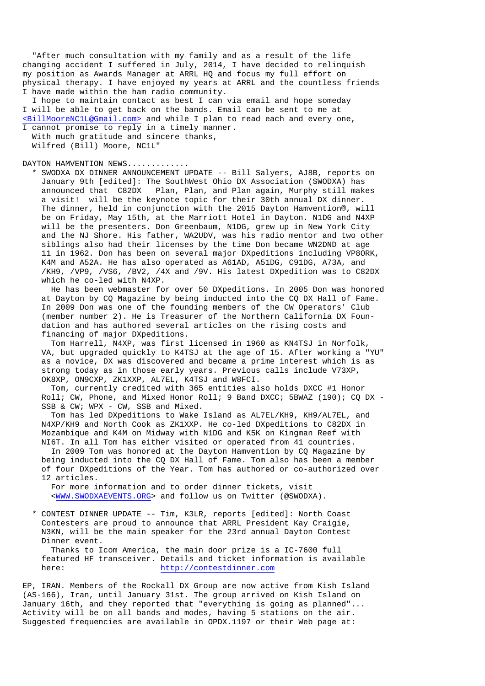"After much consultation with my family and as a result of the life changing accident I suffered in July, 2014, I have decided to relinquish my position as Awards Manager at ARRL HQ and focus my full effort on physical therapy. I have enjoyed my years at ARRL and the countless friends I have made within the ham radio community.

 I hope to maintain contact as best I can via email and hope someday I will be able to get back on the bands. Email can be sent to me at <BillMooreNC1L@Gmail.com> and while I plan to read each and every one,

I cannot promise to reply in a timely manner. With much gratitude and sincere thanks, Wilfred (Bill) Moore, NC1L"

DAYTON HAMVENTION NEWS............

 \* SWODXA DX DINNER ANNOUNCEMENT UPDATE -- Bill Salyers, AJ8B, reports on January 9th [edited]: The SouthWest Ohio DX Association (SWODXA) has announced that C82DX Plan, Plan, and Plan again, Murphy still makes a visit! will be the keynote topic for their 30th annual DX dinner. The dinner, held in conjunction with the 2015 Dayton Hamvention®, will be on Friday, May 15th, at the Marriott Hotel in Dayton. N1DG and N4XP will be the presenters. Don Greenbaum, N1DG, grew up in New York City and the NJ Shore. His father, WA2UDV, was his radio mentor and two other siblings also had their licenses by the time Don became WN2DND at age 11 in 1962. Don has been on several major DXpeditions including VP8ORK, K4M and A52A. He has also operated as A61AD, A51DG, C91DG, A73A, and /KH9, /VP9, /VS6, /BV2, /4X and /9V. His latest DXpedition was to C82DX which he co-led with N4XP.

 He has been webmaster for over 50 DXpeditions. In 2005 Don was honored at Dayton by CQ Magazine by being inducted into the CQ DX Hall of Fame. In 2009 Don was one of the founding members of the CW Operators' Club (member number 2). He is Treasurer of the Northern California DX Foun dation and has authored several articles on the rising costs and financing of major DXpeditions.

 Tom Harrell, N4XP, was first licensed in 1960 as KN4TSJ in Norfolk, VA, but upgraded quickly to K4TSJ at the age of 15. After working a "YU" as a novice, DX was discovered and became a prime interest which is as strong today as in those early years. Previous calls include V73XP, OK8XP, ON9CXP, ZK1XXP, AL7EL, K4TSJ and W8FCI.

 Tom, currently credited with 365 entities also holds DXCC #1 Honor Roll; CW, Phone, and Mixed Honor Roll; 9 Band DXCC; 5BWAZ (190); CQ DX - SSB & CW; WPX - CW, SSB and Mixed.

 Tom has led DXpeditions to Wake Island as AL7EL/KH9, KH9/AL7EL, and N4XP/KH9 and North Cook as ZK1XXP. He co-led DXpeditions to C82DX in Mozambique and K4M on Midway with N1DG and K5K on Kingman Reef with NI6T. In all Tom has either visited or operated from 41 countries.

 In 2009 Tom was honored at the Dayton Hamvention by CQ Magazine by being inducted into the CQ DX Hall of Fame. Tom also has been a member of four DXpeditions of the Year. Tom has authored or co-authorized over 12 articles.

 For more information and to order dinner tickets, visit <WWW.SWODXAEVENTS.ORG> and follow us on Twitter (@SWODXA).

 \* CONTEST DINNER UPDATE -- Tim, K3LR, reports [edited]: North Coast Contesters are proud to announce that ARRL President Kay Craigie, N3KN, will be the main speaker for the 23rd annual Dayton Contest Dinner event.

 Thanks to Icom America, the main door prize is a IC-7600 full featured HF transceiver. Details and ticket information is available here: http://contestdinner.com

EP, IRAN. Members of the Rockall DX Group are now active from Kish Island (AS-166), Iran, until January 31st. The group arrived on Kish Island on January 16th, and they reported that "everything is going as planned"... Activity will be on all bands and modes, having 5 stations on the air. Suggested frequencies are available in OPDX.1197 or their Web page at: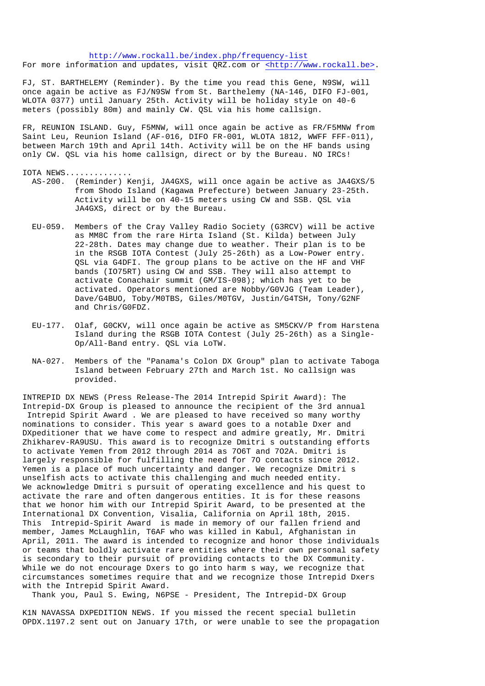http://www.rockall.be/index.php/frequency-list For more information and updates, visit QRZ.com or <http://www.rockall.be>.

FJ, ST. BARTHELEMY (Reminder). By the time you read this Gene, N9SW, will once again be active as FJ/N9SW from St. Barthelemy (NA-146, DIFO FJ-001, WLOTA 0377) until January 25th. Activity will be holiday style on 40-6 meters (possibly 80m) and mainly CW. QSL via his home callsign.

FR, REUNION ISLAND. Guy, F5MNW, will once again be active as FR/F5MNW from Saint Leu, Reunion Island (AF-016, DIFO FR-001, WLOTA 1812, WWFF FFF-011), between March 19th and April 14th. Activity will be on the HF bands using only CW. QSL via his home callsign, direct or by the Bureau. NO IRCs!

## IOTA NEWS..............

- AS-200. (Reminder) Kenji, JA4GXS, will once again be active as JA4GXS/5 from Shodo Island (Kagawa Prefecture) between January 23-25th. Activity will be on 40-15 meters using CW and SSB. QSL via JA4GXS, direct or by the Bureau.
- EU-059. Members of the Cray Valley Radio Society (G3RCV) will be active as MM8C from the rare Hirta Island (St. Kilda) between July 22-28th. Dates may change due to weather. Their plan is to be in the RSGB IOTA Contest (July 25-26th) as a Low-Power entry. QSL via G4DFI. The group plans to be active on the HF and VHF bands (IO75RT) using CW and SSB. They will also attempt to activate Conachair summit (GM/IS-098); which has yet to be activated. Operators mentioned are Nobby/G0VJG (Team Leader), Dave/G4BUO, Toby/M0TBS, Giles/M0TGV, Justin/G4TSH, Tony/G2NF and Chris/G0FDZ.
- EU-177. Olaf, G0CKV, will once again be active as SM5CKV/P from Harstena Island during the RSGB IOTA Contest (July 25-26th) as a Single- Op/All-Band entry. QSL via LoTW.
- NA-027. Members of the "Panama's Colon DX Group" plan to activate Taboga Island between February 27th and March 1st. No callsign was provided.

INTREPID DX NEWS (Press Release-The 2014 Intrepid Spirit Award): The Intrepid-DX Group is pleased to announce the recipient of the 3rd annual Intrepid Spirit Award . We are pleased to have received so many worthy nominations to consider. This year s award goes to a notable Dxer and DXpeditioner that we have come to respect and admire greatly, Mr. Dmitri Zhikharev-RA9USU. This award is to recognize Dmitri s outstanding efforts to activate Yemen from 2012 through 2014 as 7O6T and 7O2A. Dmitri is largely responsible for fulfilling the need for 7O contacts since 2012. Yemen is a place of much uncertainty and danger. We recognize Dmitri s unselfish acts to activate this challenging and much needed entity. We acknowledge Dmitri s pursuit of operating excellence and his quest to activate the rare and often dangerous entities. It is for these reasons that we honor him with our Intrepid Spirit Award, to be presented at the International DX Convention, Visalia, California on April 18th, 2015. This Intrepid-Spirit Award is made in memory of our fallen friend and member, James McLaughlin, T6AF who was killed in Kabul, Afghanistan in April, 2011. The award is intended to recognize and honor those individuals or teams that boldly activate rare entities where their own personal safety is secondary to their pursuit of providing contacts to the DX Community. While we do not encourage Dxers to go into harm s way, we recognize that circumstances sometimes require that and we recognize those Intrepid Dxers with the Intrepid Spirit Award.

Thank you, Paul S. Ewing, N6PSE - President, The Intrepid-DX Group

K1N NAVASSA DXPEDITION NEWS. If you missed the recent special bulletin OPDX.1197.2 sent out on January 17th, or were unable to see the propagation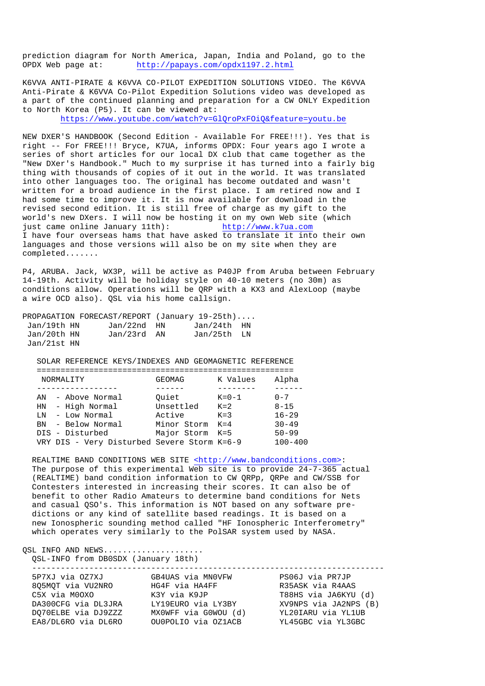prediction diagram for North America, Japan, India and Poland, go to the OPDX Web page at: http://papays.com/opdx1197.2.html

K6VVA ANTI-PIRATE & K6VVA CO-PILOT EXPEDITION SOLUTIONS VIDEO. The K6VVA Anti-Pirate & K6VVA Co-Pilot Expedition Solutions video was developed as a part of the continued planning and preparation for a CW ONLY Expedition to North Korea (P5). It can be viewed at:

https://www.youtube.com/watch?v=GlQroPxFOiQ&feature=youtu.be

NEW DXER'S HANDBOOK (Second Edition - Available For FREE!!!). Yes that is right -- For FREE!!! Bryce, K7UA, informs OPDX: Four years ago I wrote a series of short articles for our local DX club that came together as the "New DXer's Handbook." Much to my surprise it has turned into a fairly big thing with thousands of copies of it out in the world. It was translated into other languages too. The original has become outdated and wasn't written for a broad audience in the first place. I am retired now and I had some time to improve it. It is now available for download in the revised second edition. It is still free of charge as my gift to the world's new DXers. I will now be hosting it on my own Web site (which just came online January 11th): http://www.k7ua.com I have four overseas hams that have asked to translate it into their own languages and those versions will also be on my site when they are completed.......

P4, ARUBA. Jack, WX3P, will be active as P40JP from Aruba between February 14-19th. Activity will be holiday style on 40-10 meters (no 30m) as conditions allow. Operations will be QRP with a KX3 and AlexLoop (maybe a wire OCD also). QSL via his home callsign.

|             | PROPAGATION FORECAST/REPORT (January 19-25th) |             |  |
|-------------|-----------------------------------------------|-------------|--|
| Jan/19th HN | Jan/22nd HN                                   | Jan/24th HN |  |
| Jan/20th HN | Jan/23rd AN                                   | Jan/25th LN |  |
| Jan/21st HN |                                               |             |  |

SOLAR REFERENCE KEYS/INDEXES AND GEOMAGNETIC REFERENCE

| NORMALITY |                                             | GEOMAG      | K Values    | Alpha       |
|-----------|---------------------------------------------|-------------|-------------|-------------|
|           |                                             |             |             |             |
| ΑN        | - Above Normal                              | Ouiet       | $K = 0 - 1$ | $0 - 7$     |
| HN        | - High Normal                               | Unsettled   | $K = 2$     | $8 - 15$    |
| T.N       | - Low Normal                                | Active      | $K = 3$     | $16 - 29$   |
| <b>BN</b> | - Below Normal                              | Minor Storm | $K = 4$     | $30 - 49$   |
|           | DIS - Disturbed                             | Major Storm | $K = 5$     | $50 - 99$   |
|           | VRY DIS - Very Disturbed Severe Storm K=6-9 |             |             | $100 - 400$ |

REALTIME BAND CONDITIONS WEB SITE <http://www.bandconditions.com>: The purpose of this experimental Web site is to provide 24-7-365 actual (REALTIME) band condition information to CW QRPp, QRPe and CW/SSB for Contesters interested in increasing their scores. It can also be of benefit to other Radio Amateurs to determine band conditions for Nets and casual QSO's. This information is NOT based on any software pre dictions or any kind of satellite based readings. It is based on a new Ionospheric sounding method called "HF Ionospheric Interferometry" which operates very similarly to the PolSAR system used by NASA.

OSL INFO AND NEWS.................... QSL-INFO from DB0SDX (January 18th)

| 5P7XJ via 0Z7XJ     | GB4UAS via MNOVFW    | PS06J via PR7JP       |
|---------------------|----------------------|-----------------------|
| 805MOT via VU2NRO   | HG4F via HA4FF       | R35ASK via R4AAS      |
| C5X via M00XO       | K3Y via K9JP         | T88HS via JA6KYU (d)  |
| DA300CFG via DL3JRA | LY19EURO via LY3BY   | XV9NPS via JA2NPS (B) |
| DO70ELBE via DJ9ZZZ | MXOWFF via GOWOU (d) | YL20IARU via YL1UB    |
| EA8/DL6RO via DL6RO | OU0POLIO via OZ1ACB  | YL45GBC via YL3GBC    |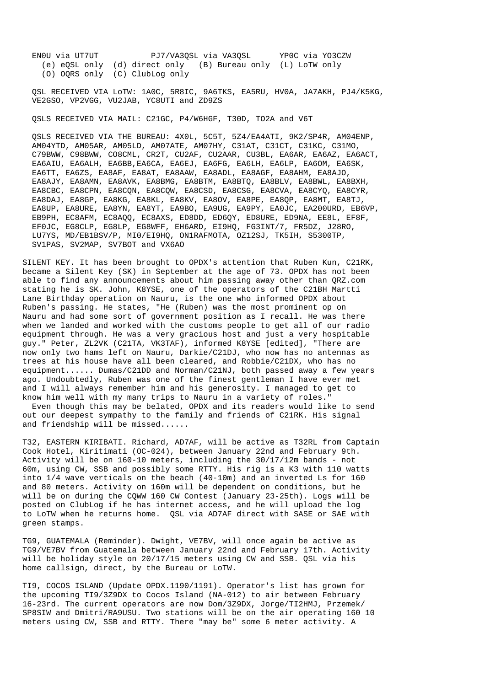EN0U via UT7UT PJ7/VA3QSL via VA3QSL YP0C via YO3CZW (e) eQSL only (d) direct only (B) Bureau only (L) LoTW only (O) OQRS only (C) ClubLog only

 QSL RECEIVED VIA LoTW: 1A0C, 5R8IC, 9A6TKS, EA5RU, HV0A, JA7AKH, PJ4/K5KG, VE2GSO, VP2VGG, VU2JAB, YC8UTI and ZD9ZS

QSLS RECEIVED VIA MAIL: C21GC, P4/W6HGF, T30D, TO2A and V6T

 QSLS RECEIVED VIA THE BUREAU: 4X0L, 5C5T, 5Z4/EA4ATI, 9K2/SP4R, AM04ENP, AM04YTD, AM05AR, AM05LD, AM07ATE, AM07HY, C31AT, C31CT, C31KC, C31MO, C79BWW, C98BWW, CO8CML, CR2T, CU2AF, CU2AAR, CU3BL, EA6AR, EA6AZ, EA6ACT, EA6AIU, EA6ALH, EA6BB,EA6CA, EA6EJ, EA6FG, EA6LH, EA6LP, EA6OM, EA6SK, EA6TT, EA6ZS, EA8AF, EA8AT, EA8AAW, EA8ADL, EA8AGF, EA8AHM, EA8AJO, EA8AJY, EA8AMN, EA8AVK, EA8BMG, EA8BTM, EA8BTQ, EA8BLV, EA8BWL, EA8BXH, EA8CBC, EA8CPN, EA8CQN, EA8CQW, EA8CSD, EA8CSG, EA8CVA, EA8CYQ, EA8CYR, EA8DAJ, EA8GP, EA8KG, EA8KL, EA8KV, EA8OV, EA8PE, EA8QP, EA8MT, EA8TJ, EA8UP, EA8URE, EA8YN, EA8YT, EA9BO, EA9UG, EA9PY, EA0JC, EA200URD, EB6VP, EB9PH, EC8AFM, EC8AQQ, EC8AXS, ED8DD, ED6QY, ED8URE, ED9NA, EE8L, EF8F, EF0JC, EG8CLP, EG8LP, EG8WFF, EH6ARD, EI9HQ, FG3INT/7, FR5DZ, J28RO, LU7YS, MD/EB1BSV/P, MI0/EI9HQ, ON1RAFMOTA, OZ12SJ, TK5IH, S5300TP, SV1PAS, SV2MAP, SV7BOT and VX6AO

SILENT KEY. It has been brought to OPDX's attention that Ruben Kun, C21RK, became a Silent Key (SK) in September at the age of 73. OPDX has not been able to find any announcements about him passing away other than QRZ.com stating he is SK. John, K8YSE, one of the operators of the C21BH Martti Lane Birthday operation on Nauru, is the one who informed OPDX about Ruben's passing. He states, "He (Ruben) was the most prominent op on Nauru and had some sort of government position as I recall. He was there when we landed and worked with the customs people to get all of our radio equipment through. He was a very gracious host and just a very hospitable guy." Peter, ZL2VK (C21TA, VK3TAF), informed K8YSE [edited], "There are now only two hams left on Nauru, Darkie/C21DJ, who now has no antennas as trees at his house have all been cleared, and Robbie/C21DX, who has no equipment...... Dumas/C21DD and Norman/C21NJ, both passed away a few years ago. Undoubtedly, Ruben was one of the finest gentleman I have ever met and I will always remember him and his generosity. I managed to get to know him well with my many trips to Nauru in a variety of roles."

 Even though this may be belated, OPDX and its readers would like to send out our deepest sympathy to the family and friends of C21RK. His signal and friendship will be missed......

T32, EASTERN KIRIBATI. Richard, AD7AF, will be active as T32RL from Captain Cook Hotel, Kiritimati (OC-024), between January 22nd and February 9th. Activity will be on 160-10 meters, including the 30/17/12m bands - not 60m, using CW, SSB and possibly some RTTY. His rig is a K3 with 110 watts into 1/4 wave verticals on the beach (40-10m) and an inverted Ls for 160 and 80 meters. Activity on 160m will be dependent on conditions, but he will be on during the COWW 160 CW Contest (January 23-25th). Logs will be posted on ClubLog if he has internet access, and he will upload the log to LoTW when he returns home. QSL via AD7AF direct with SASE or SAE with green stamps.

TG9, GUATEMALA (Reminder). Dwight, VE7BV, will once again be active as TG9/VE7BV from Guatemala between January 22nd and February 17th. Activity will be holiday style on 20/17/15 meters using CW and SSB. QSL via his home callsign, direct, by the Bureau or LoTW.

TI9, COCOS ISLAND (Update OPDX.1190/1191). Operator's list has grown for the upcoming TI9/3Z9DX to Cocos Island (NA-012) to air between February 16-23rd. The current operators are now Dom/3Z9DX, Jorge/TI2HMJ, Przemek/ SP8SIW and Dmitri/RA9USU. Two stations will be on the air operating 160 10 meters using CW, SSB and RTTY. There "may be" some 6 meter activity. A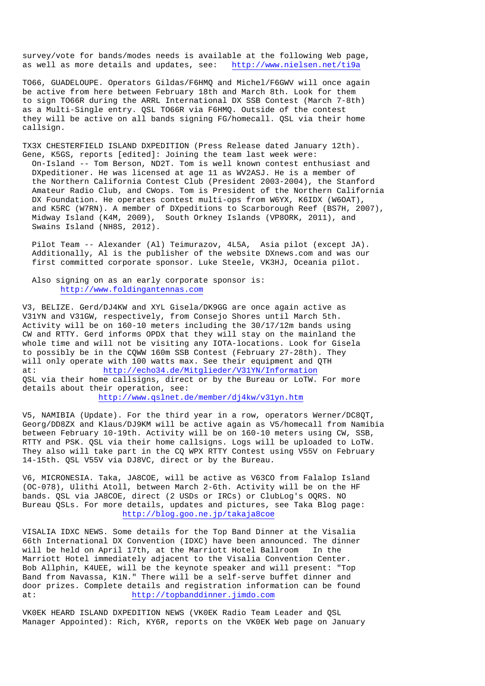survey/vote for bands/modes needs is available at the following Web page, as well as more details and updates, see: http://www.nielsen.net/ti9a

TO66, GUADELOUPE. Operators Gildas/F6HMQ and Michel/F6GWV will once again be active from here between February 18th and March 8th. Look for them to sign TO66R during the ARRL International DX SSB Contest (March 7-8th) as a Multi-Single entry. QSL TO66R via F6HMQ. Outside of the contest they will be active on all bands signing FG/homecall. QSL via their home callsign.

TX3X CHESTERFIELD ISLAND DXPEDITION (Press Release dated January 12th). Gene, K5GS, reports [edited]: Joining the team last week were: On-Island -- Tom Berson, ND2T. Tom is well known contest enthusiast and DXpeditioner. He was licensed at age 11 as WV2ASJ. He is a member of the Northern California Contest Club (President 2003-2004), the Stanford Amateur Radio Club, and CWops. Tom is President of the Northern California DX Foundation. He operates contest multi-ops from W6YX, K6IDX (W6OAT), and K5RC (W7RN). A member of DXpeditions to Scarborough Reef (BS7H, 2007), Midway Island (K4M, 2009), South Orkney Islands (VP8ORK, 2011), and Swains Island (NH8S, 2012).

 Pilot Team -- Alexander (Al) Teimurazov, 4L5A, Asia pilot (except JA). Additionally, Al is the publisher of the website DXnews.com and was our first committed corporate sponsor. Luke Steele, VK3HJ, Oceania pilot.

 Also signing on as an early corporate sponsor is: http://www.foldingantennas.com

V3, BELIZE. Gerd/DJ4KW and XYL Gisela/DK9GG are once again active as V31YN and V31GW, respectively, from Consejo Shores until March 5th. Activity will be on 160-10 meters including the 30/17/12m bands using CW and RTTY. Gerd informs OPDX that they will stay on the mainland the whole time and will not be visiting any IOTA-locations. Look for Gisela to possibly be in the CQWW 160m SSB Contest (February 27-28th). They will only operate with 100 watts max. See their equipment and QTH at: http://echo34.de/Mitglieder/V31YN/Information QSL via their home callsigns, direct or by the Bureau or LoTW. For more details about their operation, see: http://www.qslnet.de/member/dj4kw/v31yn.htm

V5, NAMIBIA (Update). For the third year in a row, operators Werner/DC8QT, Georg/DD8ZX and Klaus/DJ9KM will be active again as V5/homecall from Namibia between February 10-19th. Activity will be on 160-10 meters using CW, SSB, RTTY and PSK. QSL via their home callsigns. Logs will be uploaded to LoTW. They also will take part in the CQ WPX RTTY Contest using V55V on February 14-15th. QSL V55V via DJ8VC, direct or by the Bureau.

V6, MICRONESIA. Taka, JA8COE, will be active as V63CO from Falalop Island (OC-078), Ulithi Atoll, between March 2-6th. Activity will be on the HF bands. QSL via JA8COE, direct (2 USDs or IRCs) or ClubLog's OQRS. NO Bureau QSLs. For more details, updates and pictures, see Taka Blog page: http://blog.goo.ne.jp/takaja8coe

VISALIA IDXC NEWS. Some details for the Top Band Dinner at the Visalia 66th International DX Convention (IDXC) have been announced. The dinner will be held on April 17th, at the Marriott Hotel Ballroom In the Marriott Hotel immediately adjacent to the Visalia Convention Center. Bob Allphin, K4UEE, will be the keynote speaker and will present: "Top Band from Navassa, K1N." There will be a self-serve buffet dinner and door prizes. Complete details and registration information can be found at: http://topbanddinner.jimdo.com

VK0EK HEARD ISLAND DXPEDITION NEWS (VK0EK Radio Team Leader and QSL Manager Appointed): Rich, KY6R, reports on the VK0EK Web page on January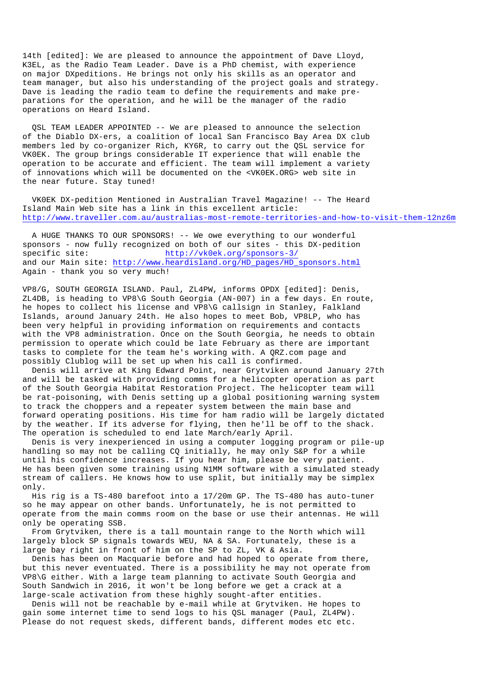14th [edited]: We are pleased to announce the appointment of Dave Lloyd, K3EL, as the Radio Team Leader. Dave is a PhD chemist, with experience on major DXpeditions. He brings not only his skills as an operator and team manager, but also his understanding of the project goals and strategy. Dave is leading the radio team to define the requirements and make preparations for the operation, and he will be the manager of the radio operations on Heard Island.

 QSL TEAM LEADER APPOINTED -- We are pleased to announce the selection of the Diablo DX-ers, a coalition of local San Francisco Bay Area DX club members led by co-organizer Rich, KY6R, to carry out the QSL service for VK0EK. The group brings considerable IT experience that will enable the operation to be accurate and efficient. The team will implement a variety of innovations which will be documented on the <VK0EK.ORG> web site in the near future. Stay tuned!

 VK0EK DX-pedition Mentioned in Australian Travel Magazine! -- The Heard Island Main Web site has a link in this excellent article: http://www.traveller.com.au/australias-most-remote-territories-and-how-to-visit-them-12nz6m

 A HUGE THANKS TO OUR SPONSORS! -- We owe everything to our wonderful sponsors - now fully recognized on both of our sites - this DX-pedition specific site: http://vk0ek.org/sponsors-3/ and our Main site: http://www.heardisland.org/HD\_pages/HD\_sponsors.html Again - thank you so very much!

VP8/G, SOUTH GEORGIA ISLAND. Paul, ZL4PW, informs OPDX [edited]: Denis, ZL4DB, is heading to VP8\G South Georgia (AN-007) in a few days. En route, he hopes to collect his license and VP8\G callsign in Stanley, Falkland Islands, around January 24th. He also hopes to meet Bob, VP8LP, who has been very helpful in providing information on requirements and contacts with the VP8 administration. Once on the South Georgia, he needs to obtain permission to operate which could be late February as there are important tasks to complete for the team he's working with. A QRZ.com page and possibly Clublog will be set up when his call is confirmed.

 Denis will arrive at King Edward Point, near Grytviken around January 27th and will be tasked with providing comms for a helicopter operation as part of the South Georgia Habitat Restoration Project. The helicopter team will be rat-poisoning, with Denis setting up a global positioning warning system to track the choppers and a repeater system between the main base and forward operating positions. His time for ham radio will be largely dictated by the weather. If its adverse for flying, then he'll be off to the shack. The operation is scheduled to end late March/early April.

 Denis is very inexperienced in using a computer logging program or pile-up handling so may not be calling CQ initially, he may only S&P for a while until his confidence increases. If you hear him, please be very patient. He has been given some training using N1MM software with a simulated steady stream of callers. He knows how to use split, but initially may be simplex only.

 His rig is a TS-480 barefoot into a 17/20m GP. The TS-480 has auto-tuner so he may appear on other bands. Unfortunately, he is not permitted to operate from the main comms room on the base or use their antennas. He will only be operating SSB.

 From Grytviken, there is a tall mountain range to the North which will largely block SP signals towards WEU, NA & SA. Fortunately, these is a large bay right in front of him on the SP to ZL, VK & Asia.

 Denis has been on Macquarie before and had hoped to operate from there, but this never eventuated. There is a possibility he may not operate from VP8\G either. With a large team planning to activate South Georgia and South Sandwich in 2016, it won't be long before we get a crack at a large-scale activation from these highly sought-after entities.

 Denis will not be reachable by e-mail while at Grytviken. He hopes to gain some internet time to send logs to his QSL manager (Paul, ZL4PW). Please do not request skeds, different bands, different modes etc etc.